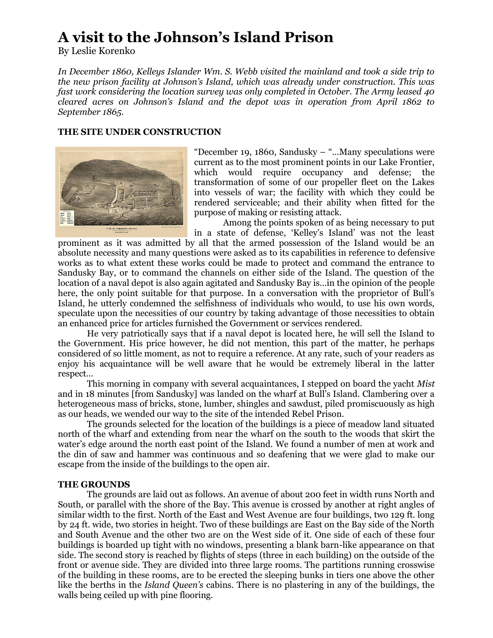# **A visit to the Johnson's Island Prison**

By Leslie Korenko

*In December 1860, Kelleys Islander Wm. S. Webb visited the mainland and took a side trip to the new prison facility at Johnson's Island, which was already under construction. This was fast work considering the location survey was only completed in October. The Army leased 40 cleared acres on Johnson's Island and the depot was in operation from April 1862 to September 1865.* 

## **THE SITE UNDER CONSTRUCTION**



"December 19, 1860, Sandusky – "…Many speculations were current as to the most prominent points in our Lake Frontier, which would require occupancy and defense; the transformation of some of our propeller fleet on the Lakes into vessels of war; the facility with which they could be rendered serviceable; and their ability when fitted for the purpose of making or resisting attack.

Among the points spoken of as being necessary to put in a state of defense, 'Kelley's Island' was not the least

prominent as it was admitted by all that the armed possession of the Island would be an absolute necessity and many questions were asked as to its capabilities in reference to defensive works as to what extent these works could be made to protect and command the entrance to Sandusky Bay, or to command the channels on either side of the Island. The question of the location of a naval depot is also again agitated and Sandusky Bay is…in the opinion of the people here, the only point suitable for that purpose. In a conversation with the proprietor of Bull's Island, he utterly condemned the selfishness of individuals who would, to use his own words, speculate upon the necessities of our country by taking advantage of those necessities to obtain an enhanced price for articles furnished the Government or services rendered.

He very patriotically says that if a naval depot is located here, he will sell the Island to the Government. His price however, he did not mention, this part of the matter, he perhaps considered of so little moment, as not to require a reference. At any rate, such of your readers as enjoy his acquaintance will be well aware that he would be extremely liberal in the latter respect…

This morning in company with several acquaintances, I stepped on board the yacht *Mist* and in 18 minutes [from Sandusky] was landed on the wharf at Bull's Island. Clambering over a heterogeneous mass of bricks, stone, lumber, shingles and sawdust, piled promiscuously as high as our heads, we wended our way to the site of the intended Rebel Prison.

The grounds selected for the location of the buildings is a piece of meadow land situated north of the wharf and extending from near the wharf on the south to the woods that skirt the water's edge around the north east point of the Island. We found a number of men at work and the din of saw and hammer was continuous and so deafening that we were glad to make our escape from the inside of the buildings to the open air.

### **THE GROUNDS**

The grounds are laid out as follows. An avenue of about 200 feet in width runs North and South, or parallel with the shore of the Bay. This avenue is crossed by another at right angles of similar width to the first. North of the East and West Avenue are four buildings, two 129 ft. long by 24 ft. wide, two stories in height. Two of these buildings are East on the Bay side of the North and South Avenue and the other two are on the West side of it. One side of each of these four buildings is boarded up tight with no windows, presenting a blank barn-like appearance on that side. The second story is reached by flights of steps (three in each building) on the outside of the front or avenue side. They are divided into three large rooms. The partitions running crosswise of the building in these rooms, are to be erected the sleeping bunks in tiers one above the other like the berths in the *Island Queen's* cabins. There is no plastering in any of the buildings, the walls being ceiled up with pine flooring.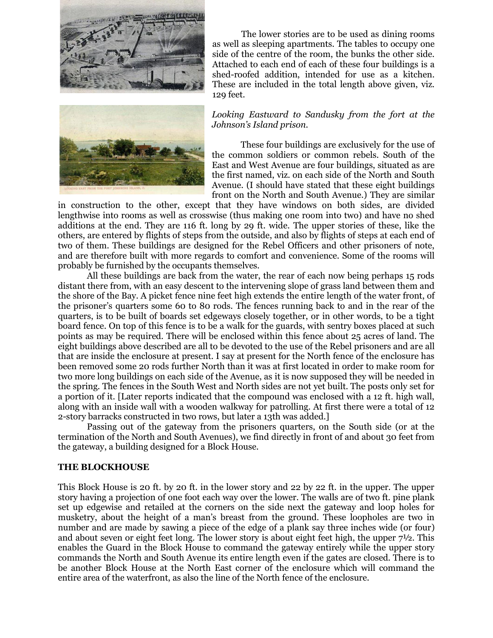



The lower stories are to be used as dining rooms as well as sleeping apartments. The tables to occupy one side of the centre of the room, the bunks the other side. Attached to each end of each of these four buildings is a shed-roofed addition, intended for use as a kitchen. These are included in the total length above given, viz. 129 feet.

### *Looking Eastward to Sandusky from the fort at the Johnson's Island prison.*

These four buildings are exclusively for the use of the common soldiers or common rebels. South of the East and West Avenue are four buildings, situated as are the first named, viz. on each side of the North and South Avenue. (I should have stated that these eight buildings front on the North and South Avenue.) They are similar

in construction to the other, except that they have windows on both sides, are divided lengthwise into rooms as well as crosswise (thus making one room into two) and have no shed additions at the end. They are 116 ft. long by 29 ft. wide. The upper stories of these, like the others, are entered by flights of steps from the outside, and also by flights of steps at each end of two of them. These buildings are designed for the Rebel Officers and other prisoners of note, and are therefore built with more regards to comfort and convenience. Some of the rooms will probably be furnished by the occupants themselves.

All these buildings are back from the water, the rear of each now being perhaps 15 rods distant there from, with an easy descent to the intervening slope of grass land between them and the shore of the Bay. A picket fence nine feet high extends the entire length of the water front, of the prisoner's quarters some 60 to 80 rods. The fences running back to and in the rear of the quarters, is to be built of boards set edgeways closely together, or in other words, to be a tight board fence. On top of this fence is to be a walk for the guards, with sentry boxes placed at such points as may be required. There will be enclosed within this fence about 25 acres of land. The eight buildings above described are all to be devoted to the use of the Rebel prisoners and are all that are inside the enclosure at present. I say at present for the North fence of the enclosure has been removed some 20 rods further North than it was at first located in order to make room for two more long buildings on each side of the Avenue, as it is now supposed they will be needed in the spring. The fences in the South West and North sides are not yet built. The posts only set for a portion of it. [Later reports indicated that the compound was enclosed with a 12 ft. high wall, along with an inside wall with a wooden walkway for patrolling. At first there were a total of 12 2-story barracks constructed in two rows, but later a 13th was added.]

Passing out of the gateway from the prisoners quarters, on the South side (or at the termination of the North and South Avenues), we find directly in front of and about 30 feet from the gateway, a building designed for a Block House.

## **THE BLOCKHOUSE**

This Block House is 20 ft. by 20 ft. in the lower story and 22 by 22 ft. in the upper. The upper story having a projection of one foot each way over the lower. The walls are of two ft. pine plank set up edgewise and retailed at the corners on the side next the gateway and loop holes for musketry, about the height of a man's breast from the ground. These loopholes are two in number and are made by sawing a piece of the edge of a plank say three inches wide (or four) and about seven or eight feet long. The lower story is about eight feet high, the upper 7½. This enables the Guard in the Block House to command the gateway entirely while the upper story commands the North and South Avenue its entire length even if the gates are closed. There is to be another Block House at the North East corner of the enclosure which will command the entire area of the waterfront, as also the line of the North fence of the enclosure.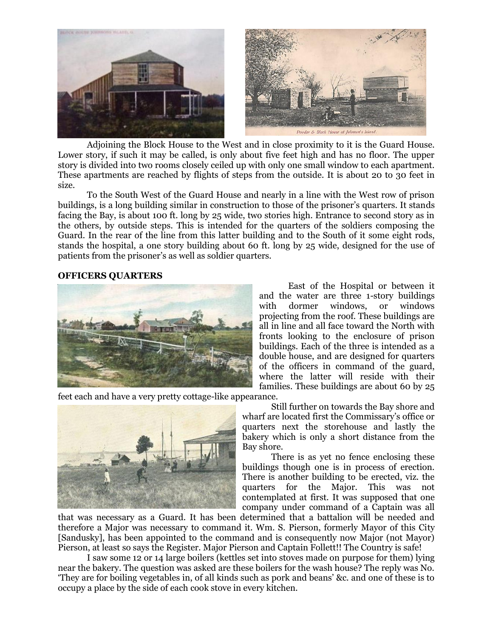

Adjoining the Block House to the West and in close proximity to it is the Guard House. Lower story, if such it may be called, is only about five feet high and has no floor. The upper story is divided into two rooms closely ceiled up with only one small window to each apartment. These apartments are reached by flights of steps from the outside. It is about 20 to 30 feet in size.

To the South West of the Guard House and nearly in a line with the West row of prison buildings, is a long building similar in construction to those of the prisoner's quarters. It stands facing the Bay, is about 100 ft. long by 25 wide, two stories high. Entrance to second story as in the others, by outside steps. This is intended for the quarters of the soldiers composing the Guard. In the rear of the line from this latter building and to the South of it some eight rods, stands the hospital, a one story building about 60 ft. long by 25 wide, designed for the use of patients from the prisoner's as well as soldier quarters.

#### **OFFICERS QUARTERS**



East of the Hospital or between it and the water are three 1-story buildings with dormer windows, or windows projecting from the roof. These buildings are all in line and all face toward the North with fronts looking to the enclosure of prison buildings. Each of the three is intended as a double house, and are designed for quarters of the officers in command of the guard, where the latter will reside with their families. These buildings are about 60 by 25

feet each and have a very pretty cottage-like appearance.

Still further on towards the Bay shore and wharf are located first the Commissary's office or quarters next the storehouse and lastly the bakery which is only a short distance from the Bay shore.

There is as yet no fence enclosing these buildings though one is in process of erection. There is another building to be erected, viz. the quarters for the Major. This was not contemplated at first. It was supposed that one company under command of a Captain was all

that was necessary as a Guard. It has been determined that a battalion will be needed and therefore a Major was necessary to command it. Wm. S. Pierson, formerly Mayor of this City [Sandusky], has been appointed to the command and is consequently now Major (not Mayor) Pierson, at least so says the Register. Major Pierson and Captain Follett!! The Country is safe!

I saw some 12 or 14 large boilers (kettles set into stoves made on purpose for them) lying near the bakery. The question was asked are these boilers for the wash house? The reply was No. 'They are for boiling vegetables in, of all kinds such as pork and beans' &c. and one of these is to occupy a place by the side of each cook stove in every kitchen.